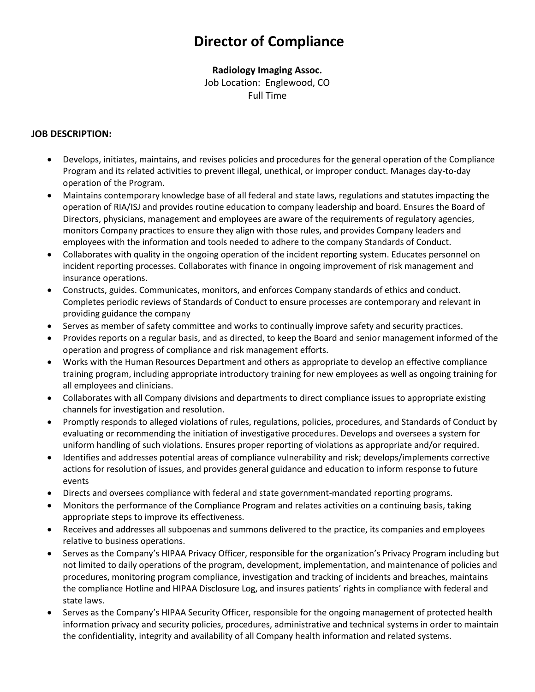# **Director of Compliance**

## **Radiology Imaging Assoc.**

Job Location: Englewood, CO Full Time

### **JOB DESCRIPTION:**

- Develops, initiates, maintains, and revises policies and procedures for the general operation of the Compliance Program and its related activities to prevent illegal, unethical, or improper conduct. Manages day-to-day operation of the Program.
- Maintains contemporary knowledge base of all federal and state laws, regulations and statutes impacting the operation of RIA/ISJ and provides routine education to company leadership and board. Ensures the Board of Directors, physicians, management and employees are aware of the requirements of regulatory agencies, monitors Company practices to ensure they align with those rules, and provides Company leaders and employees with the information and tools needed to adhere to the company Standards of Conduct.
- Collaborates with quality in the ongoing operation of the incident reporting system. Educates personnel on incident reporting processes. Collaborates with finance in ongoing improvement of risk management and insurance operations.
- Constructs, guides. Communicates, monitors, and enforces Company standards of ethics and conduct. Completes periodic reviews of Standards of Conduct to ensure processes are contemporary and relevant in providing guidance the company
- Serves as member of safety committee and works to continually improve safety and security practices.
- Provides reports on a regular basis, and as directed, to keep the Board and senior management informed of the operation and progress of compliance and risk management efforts.
- Works with the Human Resources Department and others as appropriate to develop an effective compliance training program, including appropriate introductory training for new employees as well as ongoing training for all employees and clinicians.
- Collaborates with all Company divisions and departments to direct compliance issues to appropriate existing channels for investigation and resolution.
- Promptly responds to alleged violations of rules, regulations, policies, procedures, and Standards of Conduct by evaluating or recommending the initiation of investigative procedures. Develops and oversees a system for uniform handling of such violations. Ensures proper reporting of violations as appropriate and/or required.
- Identifies and addresses potential areas of compliance vulnerability and risk; develops/implements corrective actions for resolution of issues, and provides general guidance and education to inform response to future events
- Directs and oversees compliance with federal and state government-mandated reporting programs.
- Monitors the performance of the Compliance Program and relates activities on a continuing basis, taking appropriate steps to improve its effectiveness.
- Receives and addresses all subpoenas and summons delivered to the practice, its companies and employees relative to business operations.
- Serves as the Company's HIPAA Privacy Officer, responsible for the organization's Privacy Program including but not limited to daily operations of the program, development, implementation, and maintenance of policies and procedures, monitoring program compliance, investigation and tracking of incidents and breaches, maintains the compliance Hotline and HIPAA Disclosure Log, and insures patients' rights in compliance with federal and state laws.
- Serves as the Company's HIPAA Security Officer, responsible for the ongoing management of protected health information privacy and security policies, procedures, administrative and technical systems in order to maintain the confidentiality, integrity and availability of all Company health information and related systems.